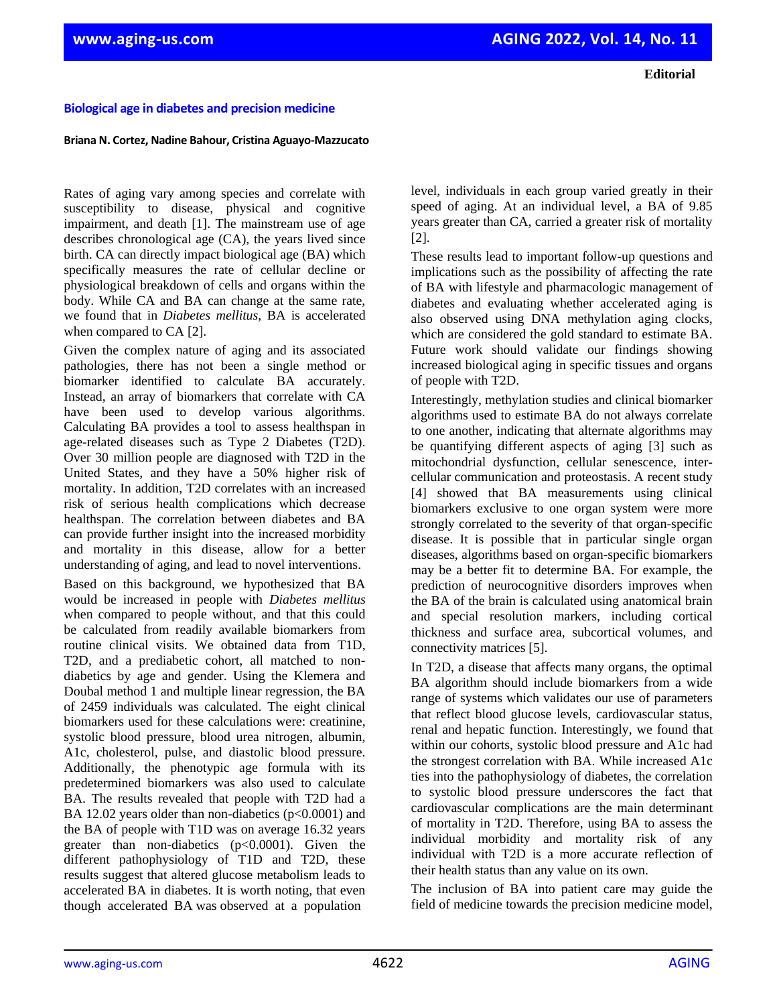## **Biological age in diabetes and precision medicine**

## **Briana N. Cortez, Nadine Bahour, Cristina Aguayo-Mazzucato**

Rates of aging vary among species and correlate with susceptibility to disease, physical and cognitive impairment, and death [1]. The mainstream use of age describes chronological age (CA), the years lived since birth. CA can directly impact biological age (BA) which specifically measures the rate of cellular decline or physiological breakdown of cells and organs within the body. While CA and BA can change at the same rate, we found that in *Diabetes mellitus*, BA is accelerated when compared to CA [2].

Given the complex nature of aging and its associated pathologies, there has not been a single method or biomarker identified to calculate BA accurately. Instead, an array of biomarkers that correlate with CA have been used to develop various algorithms. Calculating BA provides a tool to assess healthspan in age-related diseases such as Type 2 Diabetes (T2D). Over 30 million people are diagnosed with T2D in the United States, and they have a 50% higher risk of mortality. In addition, T2D correlates with an increased risk of serious health complications which decrease healthspan. The correlation between diabetes and BA can provide further insight into the increased morbidity and mortality in this disease, allow for a better understanding of aging, and lead to novel interventions.

Based on this background, we hypothesized that BA would be increased in people with *Diabetes mellitus* when compared to people without, and that this could be calculated from readily available biomarkers from routine clinical visits. We obtained data from T1D, T2D, and a prediabetic cohort, all matched to nondiabetics by age and gender. Using the Klemera and Doubal method 1 and multiple linear regression, the BA of 2459 individuals was calculated. The eight clinical biomarkers used for these calculations were: creatinine, systolic blood pressure, blood urea nitrogen, albumin, A1c, cholesterol, pulse, and diastolic blood pressure. Additionally, the phenotypic age formula with its predetermined biomarkers was also used to calculate BA. The results revealed that people with T2D had a BA 12.02 years older than non-diabetics (p<0.0001) and the BA of people with T1D was on average 16.32 years greater than non-diabetics (p<0.0001). Given the different pathophysiology of T1D and T2D, these results suggest that altered glucose metabolism leads to accelerated BA in diabetes. It is worth noting, that even though accelerated BA was observed at a population

level, individuals in each group varied greatly in their speed of aging. At an individual level, a BA of 9.85 years greater than CA, carried a greater risk of mortality [2].

These results lead to important follow-up questions and implications such as the possibility of affecting the rate of BA with lifestyle and pharmacologic management of diabetes and evaluating whether accelerated aging is also observed using DNA methylation aging clocks, which are considered the gold standard to estimate BA. Future work should validate our findings showing increased biological aging in specific tissues and organs of people with T2D.

Interestingly, methylation studies and clinical biomarker algorithms used to estimate BA do not always correlate to one another, indicating that alternate algorithms may be quantifying different aspects of aging [3] such as mitochondrial dysfunction, cellular senescence, intercellular communication and proteostasis. A recent study [4] showed that BA measurements using clinical biomarkers exclusive to one organ system were more strongly correlated to the severity of that organ-specific disease. It is possible that in particular single organ diseases, algorithms based on organ-specific biomarkers may be a better fit to determine BA. For example, the prediction of neurocognitive disorders improves when the BA of the brain is calculated using anatomical brain and special resolution markers, including cortical thickness and surface area, subcortical volumes, and connectivity matrices [5].

In T2D, a disease that affects many organs, the optimal BA algorithm should include biomarkers from a wide range of systems which validates our use of parameters that reflect blood glucose levels, cardiovascular status, renal and hepatic function. Interestingly, we found that within our cohorts, systolic blood pressure and A1c had the strongest correlation with BA. While increased A1c ties into the pathophysiology of diabetes, the correlation to systolic blood pressure underscores the fact that cardiovascular complications are the main determinant of mortality in T2D. Therefore, using BA to assess the individual morbidity and mortality risk of any individual with T2D is a more accurate reflection of their health status than any value on its own.

The inclusion of BA into patient care may guide the field of medicine towards the precision medicine model,